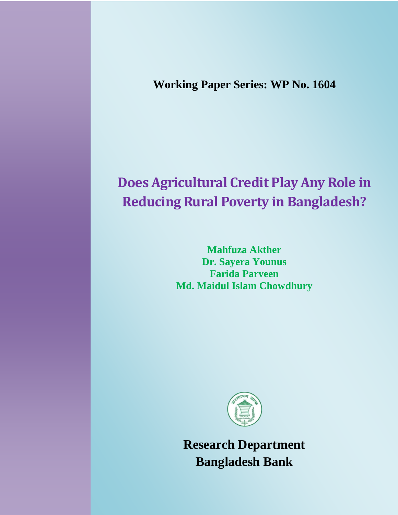**Working Paper Series: WP No. 1604**

# **Does Agricultural Credit Play Any Role in Reducing Rural Poverty in Bangladesh?**

**Mahfuza Akther Dr. Sayera Younus Farida Parveen Md. Maidul Islam Chowdhury**



**Research Department Bangladesh Bank**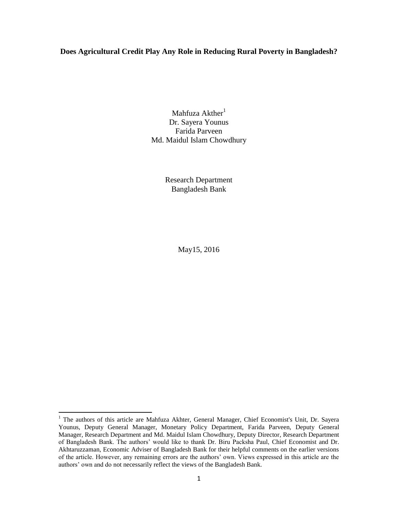## **Does Agricultural Credit Play Any Role in Reducing Rural Poverty in Bangladesh?**

Mahfuza  $Akther<sup>1</sup>$ Dr. Sayera Younus Farida Parveen Md. Maidul Islam Chowdhury

> Research Department Bangladesh Bank

> > May15, 2016

 $\overline{\phantom{a}}$ 

<sup>&</sup>lt;sup>1</sup> The authors of this article are Mahfuza Akhter, General Manager, Chief Economist's Unit, Dr. Sayera Younus, Deputy General Manager, Monetary Policy Department, Farida Parveen, Deputy General Manager, Research Department and Md. Maidul Islam Chowdhury, Deputy Director, Research Department of Bangladesh Bank. The authors" would like to thank Dr. Biru Packsha Paul, Chief Economist and Dr. Akhtaruzzaman, Economic Adviser of Bangladesh Bank for their helpful comments on the earlier versions of the article. However, any remaining errors are the authors" own. Views expressed in this article are the authors" own and do not necessarily reflect the views of the Bangladesh Bank.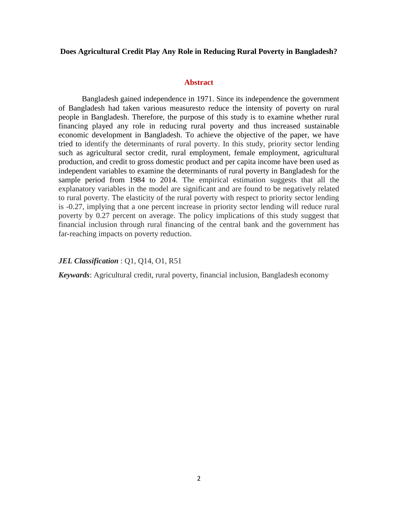### **Does Agricultural Credit Play Any Role in Reducing Rural Poverty in Bangladesh?**

#### **Abstract**

Bangladesh gained independence in 1971. Since its independence the government of Bangladesh had taken various measuresto reduce the intensity of poverty on rural people in Bangladesh. Therefore, the purpose of this study is to examine whether rural financing played any role in reducing rural poverty and thus increased sustainable economic development in Bangladesh. To achieve the objective of the paper, we have tried to identify the determinants of rural poverty. In this study, priority sector lending such as agricultural sector credit, rural employment, female employment, agricultural production, and credit to gross domestic product and per capita income have been used as independent variables to examine the determinants of rural poverty in Bangladesh for the sample period from 1984 to 2014. The empirical estimation suggests that all the explanatory variables in the model are significant and are found to be negatively related to rural poverty. The elasticity of the rural poverty with respect to priority sector lending is -0.27, implying that a one percent increase in priority sector lending will reduce rural poverty by 0.27 percent on average. The policy implications of this study suggest that financial inclusion through rural financing of the central bank and the government has far-reaching impacts on poverty reduction.

## *JEL Classification* : Q1, Q14, O1, R51

*Keywards*: Agricultural credit, rural poverty, financial inclusion, Bangladesh economy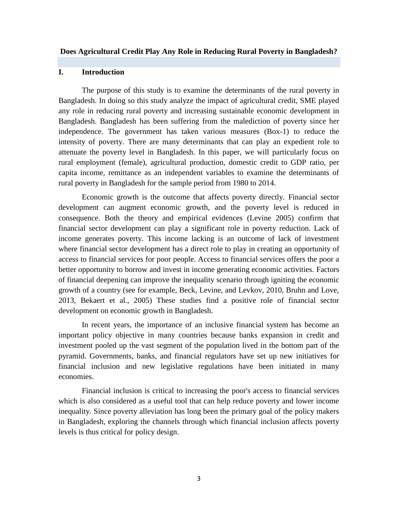#### **Does Agricultural Credit Play Any Role in Reducing Rural Poverty in Bangladesh?**

## **I. Introduction**

The purpose of this study is to examine the determinants of the rural poverty in Bangladesh. In doing so this study analyze the impact of agricultural credit, SME played any role in reducing rural poverty and increasing sustainable economic development in Bangladesh. Bangladesh has been suffering from the malediction of poverty since her independence. The government has taken various measures (Box-1) to reduce the intensity of poverty. There are many determinants that can play an expedient role to attenuate the poverty level in Bangladesh. In this paper, we will particularly focus on rural employment (female), agricultural production, domestic credit to GDP ratio, per capita income, remittance as an independent variables to examine the determinants of rural poverty in Bangladesh for the sample period from 1980 to 2014.

Economic growth is the outcome that affects poverty directly. Financial sector development can augment economic growth, and the poverty level is reduced in consequence. Both the theory and empirical evidences (Levine 2005) confirm that financial sector development can play a significant role in poverty reduction. Lack of income generates poverty. This income lacking is an outcome of lack of investment where financial sector development has a direct role to play in creating an opportunity of access to financial services for poor people. Access to financial services offers the poor a better opportunity to borrow and invest in income generating economic activities. Factors of financial deepening can improve the inequality scenario through igniting the economic growth of a country (see for example, Beck, Levine, and Levkov, 2010, Bruhn and Love, 2013, Bekaert et al., 2005) These studies find a positive role of financial sector development on economic growth in Bangladesh.

In recent years, the importance of an inclusive financial system has become an important policy objective in many countries because banks expansion in credit and investment pooled up the vast segment of the population lived in the bottom part of the pyramid. Governments, banks, and financial regulators have set up new initiatives for financial inclusion and new legislative regulations have been initiated in many economies.

Financial inclusion is critical to increasing the poor's access to financial services which is also considered as a useful tool that can help reduce poverty and lower income inequality. Since poverty alleviation has long been the primary goal of the policy makers in Bangladesh, exploring the channels through which financial inclusion affects poverty levels is thus critical for policy design.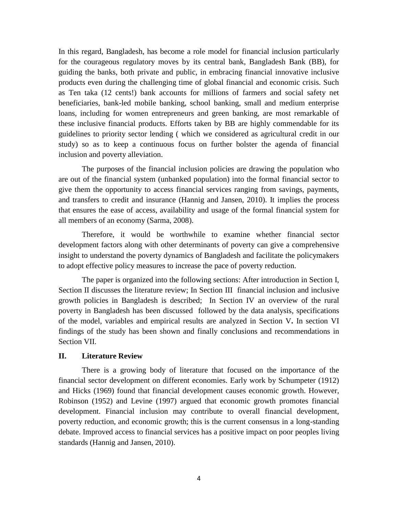In this regard, Bangladesh, has become a role model for financial inclusion particularly for the courageous regulatory moves by its central bank, Bangladesh Bank (BB), for guiding the banks, both private and public, in embracing financial innovative inclusive products even during the challenging time of global financial and economic crisis. Such as Ten taka (12 cents!) bank accounts for millions of farmers and social safety net beneficiaries, bank-led mobile banking, school banking, small and medium enterprise loans, including for women entrepreneurs and green banking, are most remarkable of these inclusive financial products. Efforts taken by BB are highly commendable for its guidelines to priority sector lending ( which we considered as agricultural credit in our study) so as to keep a continuous focus on further bolster the agenda of financial inclusion and poverty alleviation.

The purposes of the financial inclusion policies are drawing the population who are out of the financial system (unbanked population) into the formal financial sector to give them the opportunity to access financial services ranging from savings, payments, and transfers to credit and insurance (Hannig and Jansen, 2010). It implies the process that ensures the ease of access, availability and usage of the formal financial system for all members of an economy (Sarma, 2008).

Therefore, it would be worthwhile to examine whether financial sector development factors along with other determinants of poverty can give a comprehensive insight to understand the poverty dynamics of Bangladesh and facilitate the policymakers to adopt effective policy measures to increase the pace of poverty reduction.

The paper is organized into the following sections: After introduction in Section I, Section II discusses the literature review; In Section III financial inclusion and inclusive growth policies in Bangladesh is described; In Section IV an overview of the rural poverty in Bangladesh has been discussed followed by the data analysis, specifications of the model, variables and empirical results are analyzed in Section V**.** In section VI findings of the study has been shown and finally conclusions and recommendations in Section VII.

#### **II. Literature Review**

There is a growing body of literature that focused on the importance of the financial sector development on different economies. Early work by Schumpeter (1912) and Hicks (1969) found that financial development causes economic growth. However, Robinson (1952) and Levine (1997) argued that economic growth promotes financial development. Financial inclusion may contribute to overall financial development, poverty reduction, and economic growth; this is the current consensus in a long-standing debate. Improved access to financial services has a positive impact on poor peoples living standards (Hannig and Jansen, 2010).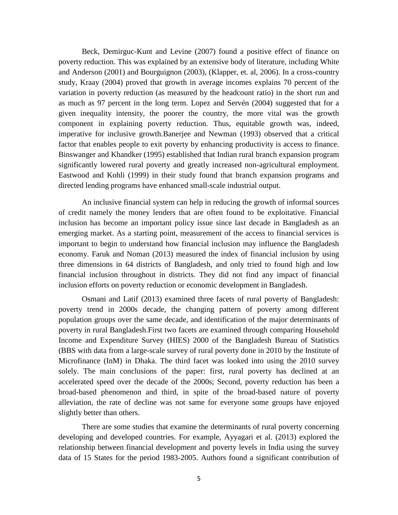Beck, Demirguc-Kunt and Levine (2007) found a positive effect of finance on poverty reduction. This was explained by an extensive body of literature, including White and Anderson (2001) and Bourguignon (2003), (Klapper, et. al, 2006). In a cross-country study, Kraay (2004) proved that growth in average incomes explains 70 percent of the variation in poverty reduction (as measured by the headcount ratio) in the short run and as much as 97 percent in the long term. Lopez and Servén (2004) suggested that for a given inequality intensity, the poorer the country, the more vital was the growth component in explaining poverty reduction. Thus, equitable growth was, indeed, imperative for inclusive growth.Banerjee and Newman (1993) observed that a critical factor that enables people to exit poverty by enhancing productivity is access to finance. Binswanger and Khandker (1995) established that Indian rural branch expansion program significantly lowered rural poverty and greatly increased non-agricultural employment. Eastwood and Kohli (1999) in their study found that branch expansion programs and directed lending programs have enhanced small-scale industrial output.

An inclusive financial system can help in reducing the growth of informal sources of credit namely the money lenders that are often found to be exploitative. Financial inclusion has become an important policy issue since last decade in Bangladesh as an emerging market. As a starting point, measurement of the access to financial services is important to begin to understand how financial inclusion may influence the Bangladesh economy. Faruk and Noman (2013) measured the index of financial inclusion by using three dimensions in 64 districts of Bangladesh, and only tried to found high and low financial inclusion throughout in districts. They did not find any impact of financial inclusion efforts on poverty reduction or economic development in Bangladesh.

Osmani and Latif (2013) examined three facets of rural poverty of Bangladesh: poverty trend in 2000s decade, the changing pattern of poverty among different population groups over the same decade, and identification of the major determinants of poverty in rural Bangladesh.First two facets are examined through comparing Household Income and Expenditure Survey (HIES) 2000 of the Bangladesh Bureau of Statistics (BBS with data from a large-scale survey of rural poverty done in 2010 by the Institute of Microfinance (InM) in Dhaka. The third facet was looked into using the 2010 survey solely. The main conclusions of the paper: first, rural poverty has declined at an accelerated speed over the decade of the 2000s; Second, poverty reduction has been a broad-based phenomenon and third, in spite of the broad-based nature of poverty alleviation, the rate of decline was not same for everyone some groups have enjoyed slightly better than others.

There are some studies that examine the determinants of rural poverty concerning developing and developed countries. For example, Ayyagari et al. (2013) explored the relationship between financial development and poverty levels in India using the survey data of 15 States for the period 1983-2005. Authors found a significant contribution of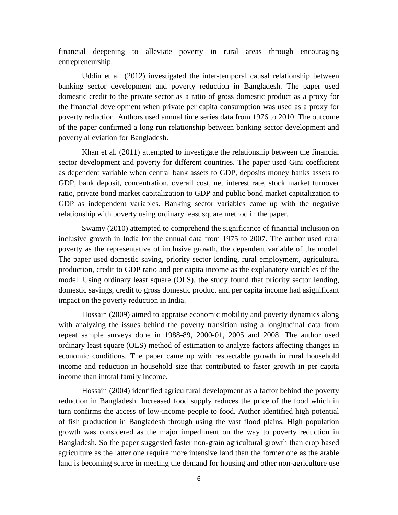financial deepening to alleviate poverty in rural areas through encouraging entrepreneurship.

Uddin et al. (2012) investigated the inter-temporal causal relationship between banking sector development and poverty reduction in Bangladesh. The paper used domestic credit to the private sector as a ratio of gross domestic product as a proxy for the financial development when private per capita consumption was used as a proxy for poverty reduction. Authors used annual time series data from 1976 to 2010. The outcome of the paper confirmed a long run relationship between banking sector development and poverty alleviation for Bangladesh.

Khan et al. (2011) attempted to investigate the relationship between the financial sector development and poverty for different countries. The paper used Gini coefficient as dependent variable when central bank assets to GDP, deposits money banks assets to GDP, bank deposit, concentration, overall cost, net interest rate, stock market turnover ratio, private bond market capitalization to GDP and public bond market capitalization to GDP as independent variables. Banking sector variables came up with the negative relationship with poverty using ordinary least square method in the paper.

Swamy (2010) attempted to comprehend the significance of financial inclusion on inclusive growth in India for the annual data from 1975 to 2007. The author used rural poverty as the representative of inclusive growth, the dependent variable of the model. The paper used domestic saving, priority sector lending, rural employment, agricultural production, credit to GDP ratio and per capita income as the explanatory variables of the model. Using ordinary least square (OLS), the study found that priority sector lending, domestic savings, credit to gross domestic product and per capita income had asignificant impact on the poverty reduction in India.

Hossain (2009) aimed to appraise economic mobility and poverty dynamics along with analyzing the issues behind the poverty transition using a longitudinal data from repeat sample surveys done in 1988-89, 2000-01, 2005 and 2008. The author used ordinary least square (OLS) method of estimation to analyze factors affecting changes in economic conditions. The paper came up with respectable growth in rural household income and reduction in household size that contributed to faster growth in per capita income than intotal family income.

Hossain (2004) identified agricultural development as a factor behind the poverty reduction in Bangladesh. Increased food supply reduces the price of the food which in turn confirms the access of low-income people to food. Author identified high potential of fish production in Bangladesh through using the vast flood plains. High population growth was considered as the major impediment on the way to poverty reduction in Bangladesh. So the paper suggested faster non-grain agricultural growth than crop based agriculture as the latter one require more intensive land than the former one as the arable land is becoming scarce in meeting the demand for housing and other non-agriculture use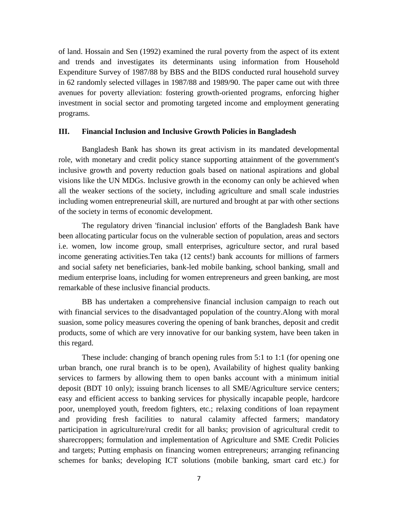of land. Hossain and Sen (1992) examined the rural poverty from the aspect of its extent and trends and investigates its determinants using information from Household Expenditure Survey of 1987/88 by BBS and the BIDS conducted rural household survey in 62 randomly selected villages in 1987/88 and 1989/90. The paper came out with three avenues for poverty alleviation: fostering growth-oriented programs, enforcing higher investment in social sector and promoting targeted income and employment generating programs.

#### **III. Financial Inclusion and Inclusive Growth Policies in Bangladesh**

Bangladesh Bank has shown its great activism in its mandated developmental role, with monetary and credit policy stance supporting attainment of the government's inclusive growth and poverty reduction goals based on national aspirations and global visions like the UN MDGs. Inclusive growth in the economy can only be achieved when all the weaker sections of the society, including agriculture and small scale industries including women entrepreneurial skill, are nurtured and brought at par with other sections of the society in terms of economic development.

The regulatory driven 'financial inclusion' efforts of the Bangladesh Bank have been allocating particular focus on the vulnerable section of population, areas and sectors i.e. women, low income group, small enterprises, agriculture sector, and rural based income generating activities.Ten taka (12 cents!) bank accounts for millions of farmers and social safety net beneficiaries, bank-led mobile banking, school banking, small and medium enterprise loans, including for women entrepreneurs and green banking, are most remarkable of these inclusive financial products.

BB has undertaken a comprehensive financial inclusion campaign to reach out with financial services to the disadvantaged population of the country.Along with moral suasion, some policy measures covering the opening of bank branches, deposit and credit products, some of which are very innovative for our banking system, have been taken in this regard.

These include: changing of branch opening rules from 5:1 to 1:1 (for opening one urban branch, one rural branch is to be open), Availability of highest quality banking services to farmers by allowing them to open banks account with a minimum initial deposit (BDT 10 only); issuing branch licenses to all SME/Agriculture service centers; easy and efficient access to banking services for physically incapable people, hardcore poor, unemployed youth, freedom fighters, etc.; relaxing conditions of loan repayment and providing fresh facilities to natural calamity affected farmers; mandatory participation in agriculture/rural credit for all banks; provision of agricultural credit to sharecroppers; formulation and implementation of Agriculture and SME Credit Policies and targets; Putting emphasis on financing women entrepreneurs; arranging refinancing schemes for banks; developing ICT solutions (mobile banking, smart card etc.) for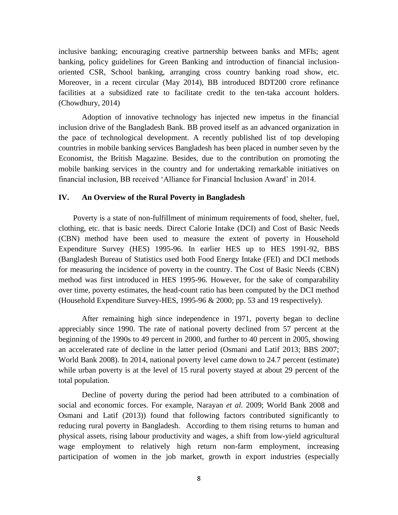inclusive banking; encouraging creative partnership between banks and MFIs; agent banking, policy guidelines for Green Banking and introduction of financial inclusionoriented CSR, School banking, arranging cross country banking road show, etc. Moreover, in a recent circular (May 2014), BB introduced BDT200 crore refinance facilities at a subsidized rate to facilitate credit to the ten-taka account holders. (Chowdhury, 2014)

Adoption of innovative technology has injected new impetus in the financial inclusion drive of the Bangladesh Bank. BB proved itself as an advanced organization in the pace of technological development. A recently published list of top developing countries in mobile banking services Bangladesh has been placed in number seven by the Economist, the British Magazine. Besides, due to the contribution on promoting the mobile banking services in the country and for undertaking remarkable initiatives on financial inclusion, BB received "Alliance for Financial Inclusion Award" in 2014.

## **IV. An Overview of the Rural Poverty in Bangladesh**

Poverty is a state of non-fulfillment of minimum requirements of food, shelter, fuel, clothing, etc. that is basic needs. Direct Calorie Intake (DCI) and Cost of Basic Needs (CBN) method have been used to measure the extent of poverty in Household Expenditure Survey (HES) 1995-96. In earlier HES up to HES 1991-92, BBS (Bangladesh Bureau of Statistics used both Food Energy Intake (FEI) and DCI methods for measuring the incidence of poverty in the country. The Cost of Basic Needs (CBN) method was first introduced in HES 1995-96. However, for the sake of comparability over time, poverty estimates, the head-count ratio has been computed by the DCI method (Household Expenditure Survey-HES, 1995-96 & 2000; pp. 53 and 19 respectively).

After remaining high since independence in 1971, poverty began to decline appreciably since 1990. The rate of national poverty declined from 57 percent at the beginning of the 1990s to 49 percent in 2000, and further to 40 percent in 2005, showing an accelerated rate of decline in the latter period (Osmani and Latif 2013; BBS 2007; World Bank 2008). In 2014, national poverty level came down to 24.7 percent (estimate) while urban poverty is at the level of 15 rural poverty stayed at about 29 percent of the total population.

Decline of poverty during the period had been attributed to a combination of social and economic forces. For example, Narayan *et al*. 2009; World Bank 2008 and Osmani and Latif (2013)) found that following factors contributed significantly to reducing rural poverty in Bangladesh. According to them rising returns to human and physical assets, rising labour productivity and wages, a shift from low-yield agricultural wage employment to relatively high return non-farm employment, increasing participation of women in the job market, growth in export industries (especially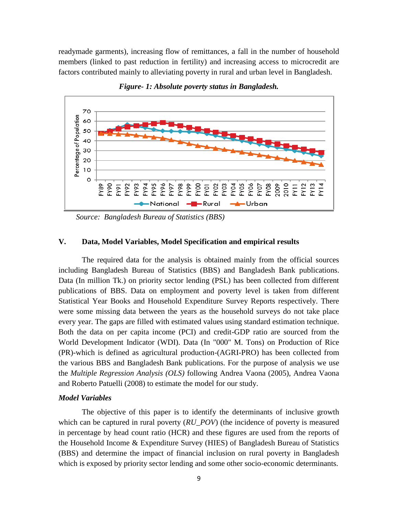readymade garments), increasing flow of remittances, a fall in the number of household members (linked to past reduction in fertility) and increasing access to microcredit are factors contributed mainly to alleviating poverty in rural and urban level in Bangladesh.



*Figure- 1: Absolute poverty status in Bangladesh.*

 *Source: Bangladesh Bureau of Statistics (BBS)*

## **V. Data, Model Variables, Model Specification and empirical results**

The required data for the analysis is obtained mainly from the official sources including Bangladesh Bureau of Statistics (BBS) and Bangladesh Bank publications. Data (In million Tk.) on priority sector lending (PSL) has been collected from different publications of BBS. Data on employment and poverty level is taken from different Statistical Year Books and Household Expenditure Survey Reports respectively. There were some missing data between the years as the household surveys do not take place every year. The gaps are filled with estimated values using standard estimation technique. Both the data on per capita income (PCI) and credit-GDP ratio are sourced from the World Development Indicator (WDI). Data (In "000" M. Tons) on Production of Rice (PR)-which is defined as agricultural production-(AGRI-PRO) has been collected from the various BBS and Bangladesh Bank publications. For the purpose of analysis we use the *Multiple Regression Analysis (OLS)* following Andrea Vaona (2005), Andrea Vaona and Roberto Patuelli (2008) to estimate the model for our study.

## *Model Variables*

The objective of this paper is to identify the determinants of inclusive growth which can be captured in rural poverty ( $RU\_POV$ ) (the incidence of poverty is measured in percentage by head count ratio (HCR) and these figures are used from the reports of the Household Income & Expenditure Survey (HIES) of Bangladesh Bureau of Statistics (BBS) and determine the impact of financial inclusion on rural poverty in Bangladesh which is exposed by priority sector lending and some other socio-economic determinants.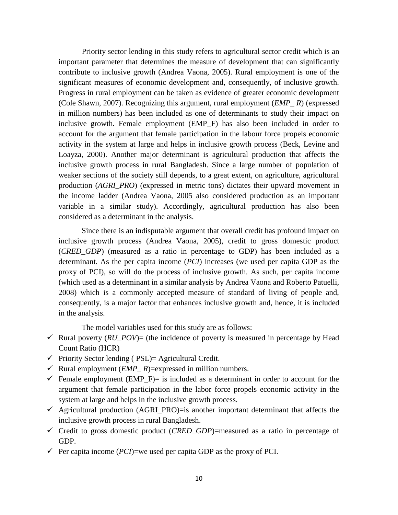Priority sector lending in this study refers to agricultural sector credit which is an important parameter that determines the measure of development that can significantly contribute to inclusive growth (Andrea Vaona, 2005). Rural employment is one of the significant measures of economic development and, consequently, of inclusive growth. Progress in rural employment can be taken as evidence of greater economic development (Cole Shawn, 2007). Recognizing this argument, rural employment (*EMP\_ R*) (expressed in million numbers) has been included as one of determinants to study their impact on inclusive growth. Female employment (EMP\_F) has also been included in order to account for the argument that female participation in the labour force propels economic activity in the system at large and helps in inclusive growth process (Beck, Levine and Loayza, 2000). Another major determinant is agricultural production that affects the inclusive growth process in rural Bangladesh. Since a large number of population of weaker sections of the society still depends, to a great extent, on agriculture, agricultural production (*AGRI\_PRO*) (expressed in metric tons) dictates their upward movement in the income ladder (Andrea Vaona, 2005 also considered production as an important variable in a similar study). Accordingly, agricultural production has also been considered as a determinant in the analysis.

Since there is an indisputable argument that overall credit has profound impact on inclusive growth process (Andrea Vaona, 2005), credit to gross domestic product (*CRED\_GDP*) (measured as a ratio in percentage to GDP) has been included as a determinant. As the per capita income (*PCI*) increases (we used per capita GDP as the proxy of PCI), so will do the process of inclusive growth. As such, per capita income (which used as a determinant in a similar analysis by Andrea Vaona and Roberto Patuelli, 2008) which is a commonly accepted measure of standard of living of people and, consequently, is a major factor that enhances inclusive growth and, hence, it is included in the analysis.

The model variables used for this study are as follows:

- $\checkmark$  Rural poverty (*RU\_POV*)= (the incidence of poverty is measured in percentage by Head Count Ratio (HCR)
- $\checkmark$  Priority Sector lending ( PSL) = Agricultural Credit.
- $\checkmark$  Rural employment (*EMP*  $R$ )=expressed in million numbers.
- Female employment (EMP\_F)= is included as a determinant in order to account for the argument that female participation in the labor force propels economic activity in the system at large and helps in the inclusive growth process.
- $\checkmark$  Agricultural production (AGRI\_PRO)=is another important determinant that affects the inclusive growth process in rural Bangladesh.
- $\checkmark$  Credit to gross domestic product (*CRED GDP*)=measured as a ratio in percentage of GDP.
- $\checkmark$  Per capita income (*PCI*)=we used per capita GDP as the proxy of PCI.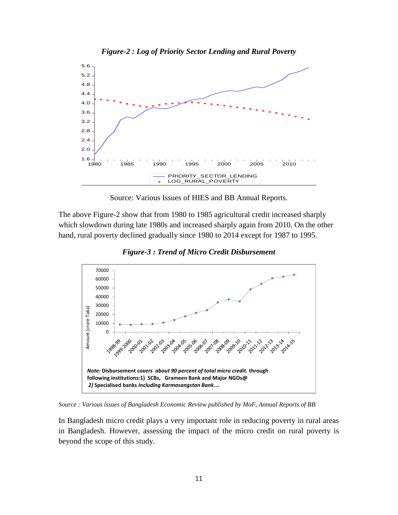

Source: Various Issues of HIES and BB Annual Reports.

The above Figure-2 show that from 1980 to 1985 agricultural credit increased sharply which slowdown during late 1980s and increased sharply again from 2010. On the other hand, rural poverty declined gradually since 1980 to 2014 except for 1987 to 1995.



*Figure-3 : Trend of Micro Credit Disbursement*

*Source : Various issues of Bangladesh Economic Review published by MoF, Annual Reports of BB*

In Bangladesh micro credit plays a very important role in reducing poverty in rural areas in Bangladesh. However, assessing the impact of the micro credit on rural poverty is beyond the scope of this study.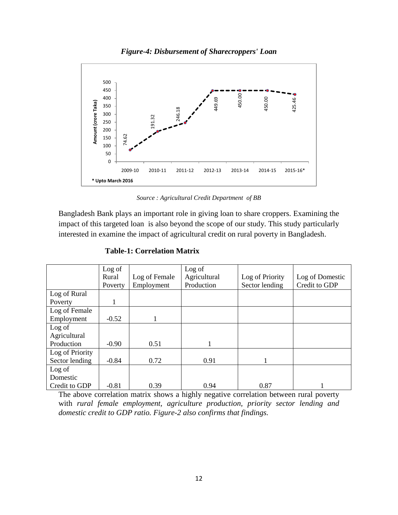



*Source : Agricultural Credit Department of BB*

|                                                                     | Amount (crore Taka)                                                                         | 400<br>350<br>300<br>250<br>200<br>74.62<br>150<br>100<br>50<br>$\mathbf 0$ | 191.32<br>2009-10<br>2010-11                                                            | 246.18<br>2011-12 | 449.69<br>2012-13 | 450.00<br>2013-14 | 450.00<br>2014-15 | 425.46<br>2015-16* |  |                 |  |
|---------------------------------------------------------------------|---------------------------------------------------------------------------------------------|-----------------------------------------------------------------------------|-----------------------------------------------------------------------------------------|-------------------|-------------------|-------------------|-------------------|--------------------|--|-----------------|--|
|                                                                     |                                                                                             | * Upto March 2016                                                           |                                                                                         |                   |                   |                   |                   |                    |  |                 |  |
|                                                                     | Source : Agricultural Credit Department of BB                                               |                                                                             |                                                                                         |                   |                   |                   |                   |                    |  |                 |  |
|                                                                     |                                                                                             |                                                                             | Bangladesh Bank plays an important role in giving loan to share croppers. Examining the |                   |                   |                   |                   |                    |  |                 |  |
|                                                                     | impact of this targeted loan is also beyond the scope of our study. This study particularly |                                                                             |                                                                                         |                   |                   |                   |                   |                    |  |                 |  |
|                                                                     |                                                                                             |                                                                             | interested in examine the impact of agricultural credit on rural poverty in Bangladesh. |                   |                   |                   |                   |                    |  |                 |  |
| <b>Table-1: Correlation Matrix</b>                                  |                                                                                             |                                                                             |                                                                                         |                   |                   |                   |                   |                    |  |                 |  |
|                                                                     |                                                                                             | Log of                                                                      |                                                                                         | Log of            |                   |                   |                   |                    |  |                 |  |
|                                                                     |                                                                                             | Rural                                                                       | Log of Female                                                                           |                   | Agricultural      |                   | Log of Priority   |                    |  | Log of Domestic |  |
|                                                                     |                                                                                             | Poverty                                                                     | Employment                                                                              |                   | Production        |                   | Sector lending    |                    |  | Credit to GDP   |  |
| Log of Rural<br>Poverty                                             |                                                                                             | $\mathbf{1}$                                                                |                                                                                         |                   |                   |                   |                   |                    |  |                 |  |
| Log of Female                                                       |                                                                                             |                                                                             |                                                                                         |                   |                   |                   |                   |                    |  |                 |  |
| Employment                                                          |                                                                                             | $-0.52$                                                                     | 1                                                                                       |                   |                   |                   |                   |                    |  |                 |  |
| Log of                                                              |                                                                                             |                                                                             |                                                                                         |                   |                   |                   |                   |                    |  |                 |  |
| Agricultural                                                        |                                                                                             |                                                                             |                                                                                         |                   |                   |                   |                   |                    |  |                 |  |
| Production                                                          |                                                                                             | $-0.90$                                                                     | 0.51                                                                                    |                   | 1                 |                   |                   |                    |  |                 |  |
| Log of Priority<br>Sector lending                                   |                                                                                             | $-0.84$                                                                     | 0.72                                                                                    |                   | 0.91              |                   | 1                 |                    |  |                 |  |
| Log of                                                              |                                                                                             |                                                                             |                                                                                         |                   |                   |                   |                   |                    |  |                 |  |
| Domestic                                                            |                                                                                             |                                                                             |                                                                                         |                   |                   |                   |                   |                    |  |                 |  |
| Credit to GDP                                                       |                                                                                             | $-0.81$                                                                     | 0.39                                                                                    |                   | 0.94              |                   | 0.87              |                    |  |                 |  |
|                                                                     |                                                                                             |                                                                             | The above correlation matrix shows a highly negative correlation between rural poverty  |                   |                   |                   |                   |                    |  |                 |  |
|                                                                     |                                                                                             |                                                                             | with rural female employment, agriculture production, priority sector lending and       |                   |                   |                   |                   |                    |  |                 |  |
| domestic credit to GDP ratio. Figure-2 also confirms that findings. |                                                                                             |                                                                             |                                                                                         |                   |                   |                   |                   |                    |  |                 |  |

**Table-1: Correlation Matrix**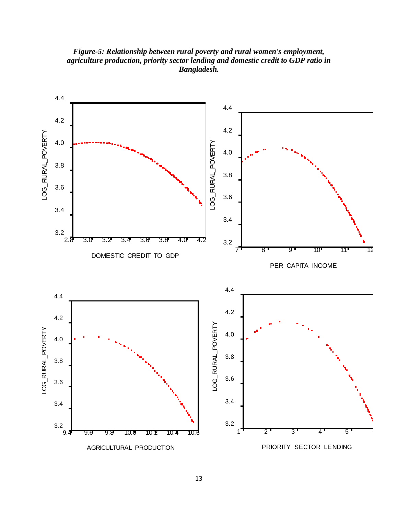*Figure-5: Relationship between rural poverty and rural women's employment, agriculture production, priority sector lending and domestic credit to GDP ratio in Bangladesh.*

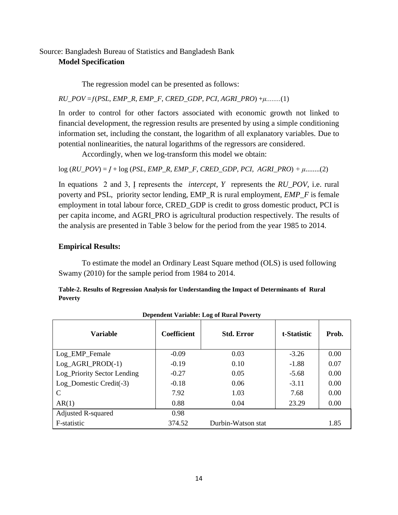## Source: Bangladesh Bureau of Statistics and Bangladesh Bank **Model Specification**

The regression model can be presented as follows:

*RU*\_*POV* =*ƒ*(*PSL*, *EMP*\_*R*, *EMP\_F*, *CRED*\_*GDP*, *PCI, AGRI*\_*PRO*) +*μ........*(1)

In order to control for other factors associated with economic growth not linked to financial development, the regression results are presented by using a simple conditioning information set, including the constant, the logarithm of all explanatory variables. Due to potential nonlinearities, the natural logarithms of the regressors are considered.

Accordingly, when we log-transform this model we obtain:

log (*RU\_POV*) = *Į* + log (*PSL*, *EMP\_R*, *EMP\_F*, *CRED\_GDP*, *PCI, AGRI\_PRO*) *+ μ*........(2)

In equations 2 and 3, Į represents the *intercept, Y* represents the *RU\_POV*, i.e. rural poverty and PSL, priority sector lending, EMP\_R is rural employment, *EMP\_F* is female employment in total labour force, CRED\_GDP is credit to gross domestic product, PCI is per capita income, and AGRI\_PRO is agricultural production respectively. The results of the analysis are presented in Table 3 below for the period from the year 1985 to 2014.

## **Empirical Results:**

To estimate the model an Ordinary Least Square method (OLS) is used following Swamy (2010) for the sample period from 1984 to 2014.

**Table-2. Results of Regression Analysis for Understanding the Impact of Determinants of Rural Poverty**

| <b>Variable</b>             | <b>Coefficient</b> | <b>Std. Error</b>  | t-Statistic | Prob. |
|-----------------------------|--------------------|--------------------|-------------|-------|
| Log_EMP_Female              | $-0.09$            | 0.03               | $-3.26$     | 0.00  |
| Log_AGRI_PROD(-1)           | $-0.19$            | 0.10               | $-1.88$     | 0.07  |
| Log_Priority Sector Lending | $-0.27$            | 0.05               | $-5.68$     | 0.00  |
| Log_Domestic Credit(-3)     | $-0.18$            | 0.06               | $-3.11$     | 0.00  |
| C                           | 7.92               | 1.03               | 7.68        | 0.00  |
| AR(1)                       | 0.88               | 0.04               | 23.29       | 0.00  |
| Adjusted R-squared          | 0.98               |                    |             |       |
| F-statistic                 | 374.52             | Durbin-Watson stat |             | 1.85  |

**Dependent Variable: Log of Rural Poverty**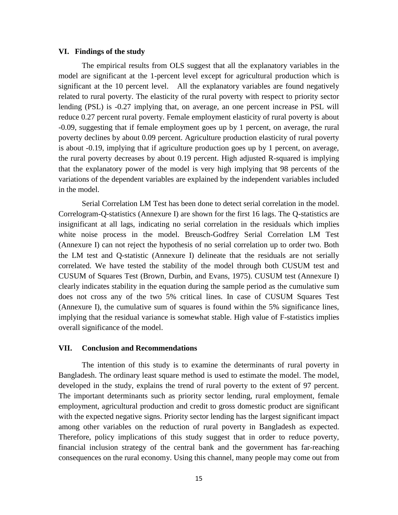#### **VI. Findings of the study**

The empirical results from OLS suggest that all the explanatory variables in the model are significant at the 1-percent level except for agricultural production which is significant at the 10 percent level. All the explanatory variables are found negatively related to rural poverty. The elasticity of the rural poverty with respect to priority sector lending (PSL) is -0.27 implying that, on average, an one percent increase in PSL will reduce 0.27 percent rural poverty. Female employment elasticity of rural poverty is about -0.09, suggesting that if female employment goes up by 1 percent, on average, the rural poverty declines by about 0.09 percent. Agriculture production elasticity of rural poverty is about -0.19, implying that if agriculture production goes up by 1 percent, on average, the rural poverty decreases by about 0.19 percent. High adjusted R-squared is implying that the explanatory power of the model is very high implying that 98 percents of the variations of the dependent variables are explained by the independent variables included in the model.

Serial Correlation LM Test has been done to detect serial correlation in the model. Correlogram-Q-statistics (Annexure I) are shown for the first 16 lags. The Q-statistics are insignificant at all lags, indicating no serial correlation in the residuals which implies white noise process in the model. Breusch-Godfrey Serial Correlation LM Test (Annexure I) can not reject the hypothesis of no serial correlation up to order two. Both the LM test and Q-statistic (Annexure I) delineate that the residuals are not serially correlated. We have tested the stability of the model through both CUSUM test and CUSUM of Squares Test (Brown, Durbin, and Evans, 1975). CUSUM test (Annexure I) clearly indicates stability in the equation during the sample period as the cumulative sum does not cross any of the two 5% critical lines. In case of CUSUM Squares Test (Annexure I), the cumulative sum of squares is found within the 5% significance lines, implying that the residual variance is somewhat stable. High value of F-statistics implies overall significance of the model.

### **VII. Conclusion and Recommendations**

The intention of this study is to examine the determinants of rural poverty in Bangladesh. The ordinary least square method is used to estimate the model. The model, developed in the study, explains the trend of rural poverty to the extent of 97 percent. The important determinants such as priority sector lending, rural employment, female employment, agricultural production and credit to gross domestic product are significant with the expected negative signs. Priority sector lending has the largest significant impact among other variables on the reduction of rural poverty in Bangladesh as expected. Therefore, policy implications of this study suggest that in order to reduce poverty, financial inclusion strategy of the central bank and the government has far-reaching consequences on the rural economy. Using this channel, many people may come out from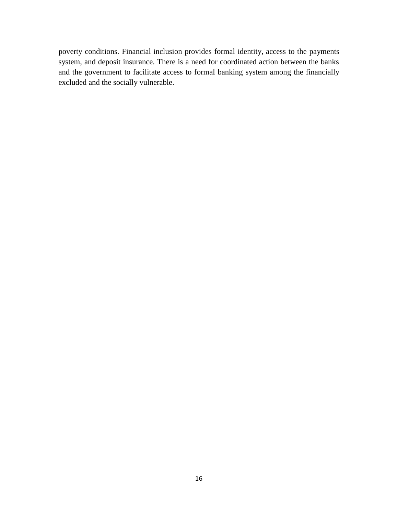poverty conditions. Financial inclusion provides formal identity, access to the payments system, and deposit insurance. There is a need for coordinated action between the banks and the government to facilitate access to formal banking system among the financially excluded and the socially vulnerable.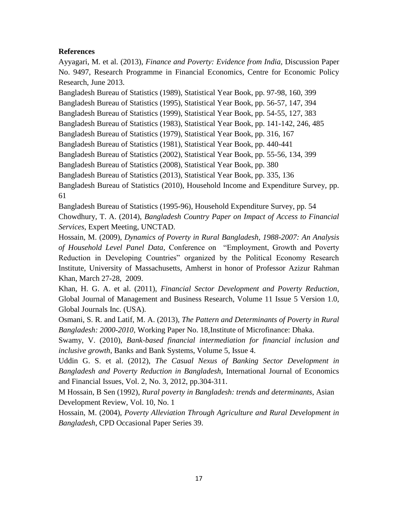## **References**

Ayyagari, M. et al. (2013), *Finance and Poverty: Evidence from India,* Discussion Paper No. 9497, Research Programme in Financial Economics, Centre for Economic Policy Research, June 2013.

Bangladesh Bureau of Statistics (1989), Statistical Year Book, pp. 97-98, 160, 399

Bangladesh Bureau of Statistics (1995), Statistical Year Book, pp. 56-57, 147, 394

Bangladesh Bureau of Statistics (1999), Statistical Year Book, pp. 54-55, 127, 383

Bangladesh Bureau of Statistics (1983), Statistical Year Book, pp. 141-142, 246, 485

Bangladesh Bureau of Statistics (1979), Statistical Year Book, pp. 316, 167

Bangladesh Bureau of Statistics (1981), Statistical Year Book, pp. 440-441

Bangladesh Bureau of Statistics (2002), Statistical Year Book, pp. 55-56, 134, 399

Bangladesh Bureau of Statistics (2008), Statistical Year Book, pp. 380

Bangladesh Bureau of Statistics (2013), Statistical Year Book, pp. 335, 136

Bangladesh Bureau of Statistics (2010), Household Income and Expenditure Survey, pp. 61

Bangladesh Bureau of Statistics (1995-96), Household Expenditure Survey, pp. 54 Chowdhury, T. A. (2014), *Bangladesh Country Paper on Impact of Access to Financial Services*, Expert Meeting, UNCTAD.

Hossain, M. (2009), *Dynamics of Poverty in Rural Bangladesh, 1988-2007: An Analysis of Household Level Panel Data,* Conference on "Employment, Growth and Poverty Reduction in Developing Countries" organized by the Political Economy Research Institute, University of Massachusetts, Amherst in honor of Professor Azizur Rahman Khan, March 27-28, 2009.

Khan, H. G. A. et al. (2011), *Financial Sector Development and Poverty Reduction*, Global Journal of Management and Business Research, Volume 11 Issue 5 Version 1.0, Global Journals Inc. (USA).

Osmani, S. R. and Latif, M. A. (2013), *The Pattern and Determinants of Poverty in Rural Bangladesh: 2000-2010,* Working Paper No. 18,Institute of Microfinance: Dhaka.

Swamy, V. (2010), *Bank-based financial intermediation for financial inclusion and inclusive growth*, Banks and Bank Systems, Volume 5, Issue 4.

Uddin G. S. et al. (2012), *The Casual Nexus of Banking Sector Development in Bangladesh and Poverty Reduction in Bangladesh*, International Journal of Economics and Financial Issues, Vol. 2, No. 3, 2012, pp.304-311.

M Hossain, B Sen (1992), *Rural poverty in Bangladesh: trends and determinants*, Asian Development Review, Vol. 10, No. 1

Hossain, M. (2004), *Poverty Alleviation Through Agriculture and Rural Development in Bangladesh*, CPD Occasional Paper Series 39.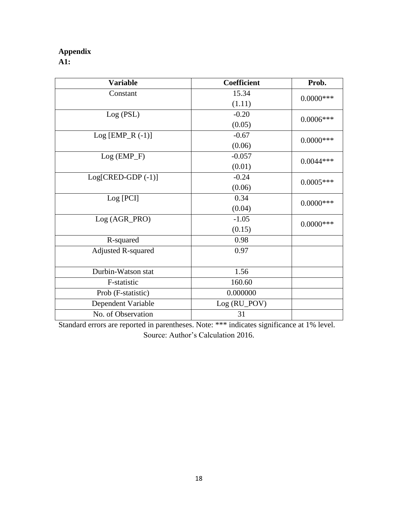## **Appendix**

**A1:**

| <b>Variable</b>           | <b>Coefficient</b> | Prob.        |  |  |  |
|---------------------------|--------------------|--------------|--|--|--|
| Constant                  | 15.34              | $0.0000$ *** |  |  |  |
|                           | (1.11)             |              |  |  |  |
| Log (PSL)                 | $-0.20$            | $0.0006***$  |  |  |  |
|                           | (0.05)             |              |  |  |  |
| $Log [EMP_R (-1)]$        | $-0.67$            | $0.0000$ *** |  |  |  |
|                           | (0.06)             |              |  |  |  |
| $Log (EMP_F)$             | $-0.057$           | $0.0044***$  |  |  |  |
|                           | (0.01)             |              |  |  |  |
| $Log[CRED-GDP(-1)]$       | $-0.24$            |              |  |  |  |
|                           | (0.06)             | $0.0005***$  |  |  |  |
| Log [PCI]                 | 0.34               | $0.0000$ *** |  |  |  |
|                           | (0.04)             |              |  |  |  |
| Log (AGR_PRO)             | $-1.05$            |              |  |  |  |
|                           | (0.15)             | $0.0000$ *** |  |  |  |
| R-squared                 | 0.98               |              |  |  |  |
| <b>Adjusted R-squared</b> | 0.97               |              |  |  |  |
|                           |                    |              |  |  |  |
| Durbin-Watson stat        | 1.56               |              |  |  |  |
| F-statistic               | 160.60             |              |  |  |  |
| Prob (F-statistic)        | 0.000000           |              |  |  |  |
| Dependent Variable        | Log (RU_POV)       |              |  |  |  |
| No. of Observation        | 31                 |              |  |  |  |

Standard errors are reported in parentheses. Note: \*\*\* indicates significance at 1% level. Source: Author"s Calculation 2016.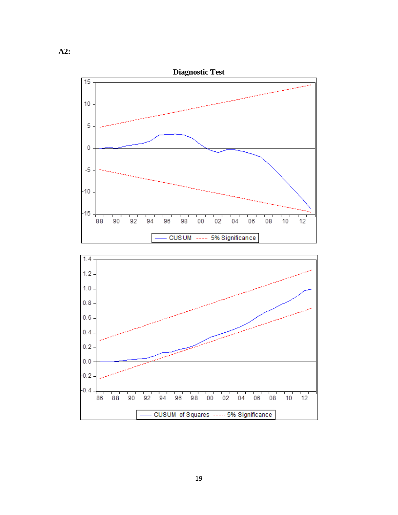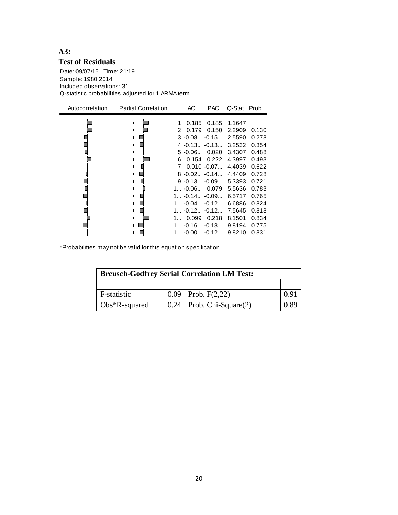## **A3: Test of Residuals**

Date: 09/07/15 Time: 21:19 Sample: 1980 2014 Included observations: 31 Q-statistic probabilities adjusted for 1 ARMA term

| Autocorrelation |  | AC | <b>PAC</b> | Q-Stat            | Prob   |       |
|-----------------|--|----|------------|-------------------|--------|-------|
|                 |  |    | 0.185      | 0.185             | 1.1647 |       |
|                 |  | 2  | 0.179      | 0.150             | 2.2909 | 0.130 |
|                 |  |    |            | $3 - 0.08 - 0.15$ | 2.5590 | 0.278 |
|                 |  |    |            | $4 - 0.13 - 0.13$ | 3.2532 | 0.354 |
|                 |  |    | $5 - 0.06$ | 0.020             | 3.4307 | 0.488 |
|                 |  | 6  | 0.154      | 0.222             | 4.3997 | 0.493 |
|                 |  | 7  |            | $0.010 - 0.07$    | 4.4039 | 0.622 |
|                 |  |    |            | $8 - 0.02 -0.14$  | 4.4409 | 0.728 |
|                 |  |    |            | $9 - 0.13 - 0.09$ | 5.3393 | 0.721 |
|                 |  |    |            | $1 -0.06 0.079$   | 5.5636 | 0.783 |
|                 |  |    |            | $1 -0.14 -0.09$   | 6.5717 | 0.765 |
|                 |  |    |            | $1 -0.04 -0.12$   | 6.6886 | 0.824 |
|                 |  |    |            | 1 $-0.12$ $-0.12$ | 7.5645 | 0.818 |
|                 |  |    | 0.099      | 0.218             | 8.1501 | 0.834 |
|                 |  |    |            | $1 -0.16 -0.18$   | 9.8194 | 0.775 |
|                 |  |    |            | 1 -0.00 -0.12     | 9.8210 | 0.831 |

\*Probabilities may not be valid for this equation specification.

| <b>Breusch-Godfrey Serial Correlation LM Test:</b> |  |                                        |      |  |  |
|----------------------------------------------------|--|----------------------------------------|------|--|--|
|                                                    |  |                                        |      |  |  |
| F-statistic                                        |  | $0.09$   Prob. F(2,22)                 | 0.91 |  |  |
| $\log*R$ -squared                                  |  | $\vert 0.24 \vert$ Prob. Chi-Square(2) | 0.89 |  |  |